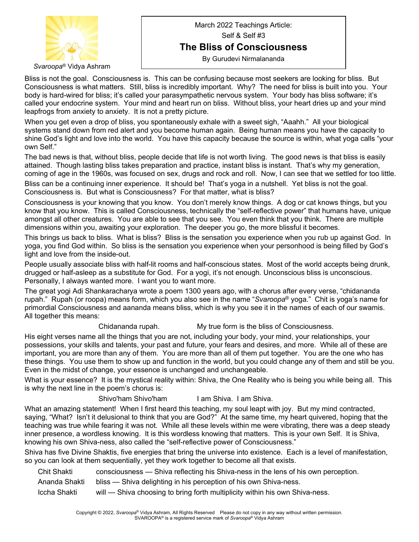

*Svaroopa*® Vidya Ashram

## March 2022 Teachings Article: Self & Self #3 **The Bliss of Consciousness** By Gurudevi Nirmalananda

Bliss is not the goal. Consciousness is. This can be confusing because most seekers are looking for bliss. But Consciousness is what matters. Still, bliss is incredibly important. Why? The need for bliss is built into you. Your body is hard-wired for bliss; it's called your parasympathetic nervous system. Your body has bliss software; it's called your endocrine system. Your mind and heart run on bliss. Without bliss, your heart dries up and your mind leapfrogs from anxiety to anxiety. It is not a pretty picture.

When you get even a drop of bliss, you spontaneously exhale with a sweet sigh, "Aaahh." All your biological systems stand down from red alert and you become human again. Being human means you have the capacity to shine God's light and love into the world. You have this capacity because the source is within, what yoga calls "your own Self."

The bad news is that, without bliss, people decide that life is not worth living. The good news is that bliss is easily attained. Though lasting bliss takes preparation and practice, instant bliss is instant. That's why my generation, coming of age in the 1960s, was focused on sex, drugs and rock and roll. Now, I can see that we settled for too little.

Bliss can be a continuing inner experience. It should be! That's yoga in a nutshell. Yet bliss is not the goal. Consciousness is. But what is Consciousness? For that matter, what is bliss?

Consciousness is your knowing that you know. You don't merely know things. A dog or cat knows things, but you know that you know. This is called Consciousness, technically the "self-reflective power" that humans have, unique amongst all other creatures. You are able to see that you see. You even think that you think. There are multiple dimensions within you, awaiting your exploration. The deeper you go, the more blissful it becomes.

This brings us back to bliss. What is bliss? Bliss is the sensation you experience when you rub up against God. In yoga, you find God within. So bliss is the sensation you experience when your personhood is being filled by God's light and love from the inside-out.

People usually associate bliss with half-lit rooms and half-conscious states. Most of the world accepts being drunk, drugged or half-asleep as a substitute for God. For a yogi, it's not enough. Unconscious bliss is unconscious. Personally, I always wanted more. I want you to want more.

The great yogi Adi Shankaracharya wrote a poem 1300 years ago, with a chorus after every verse, "chidananda rupah." Rupah (or roopa) means form, which you also see in the name "*Svaroopa*® yoga." Chit is yoga's name for primordial Consciousness and aananda means bliss, which is why you see it in the names of each of our swamis. All together this means:

## Chidananda rupah. My true form is the bliss of Consciousness.

His eight verses name all the things that you are not, including your body, your mind, your relationships, your possessions, your skills and talents, your past and future, your fears and desires, and more. While all of these are important, you are more than any of them. You are more than all of them put together. You are the one who has these things. You use them to show up and function in the world, but you could change any of them and still be you. Even in the midst of change, your essence is unchanged and unchangeable.

What is your essence? It is the mystical reality within: Shiva, the One Reality who is being you while being all. This is why the next line in the poem's chorus is:

Shivo'ham Shivo'ham I am Shiva. I am Shiva.

What an amazing statement! When I first heard this teaching, my soul leapt with joy. But my mind contracted, saying, "What? Isn't it delusional to think that you are God?" At the same time, my heart quivered, hoping that the teaching was true while fearing it was not. While all these levels within me were vibrating, there was a deep steady inner presence, a wordless knowing. It is this wordless knowing that matters. This is your own Self. It is Shiva, knowing his own Shiva-ness, also called the "self-reflective power of Consciousness."

Shiva has five Divine Shaktis, five energies that bring the universe into existence. Each is a level of manifestation, so you can look at them sequentially, yet they work together to become all that exists.

- Chit Shakti consciousness Shiva reflecting his Shiva-ness in the lens of his own perception.
- Ananda Shakti bliss Shiva delighting in his perception of his own Shiva-ness.
- Iccha Shakti will Shiva choosing to bring forth multiplicity within his own Shiva-ness.